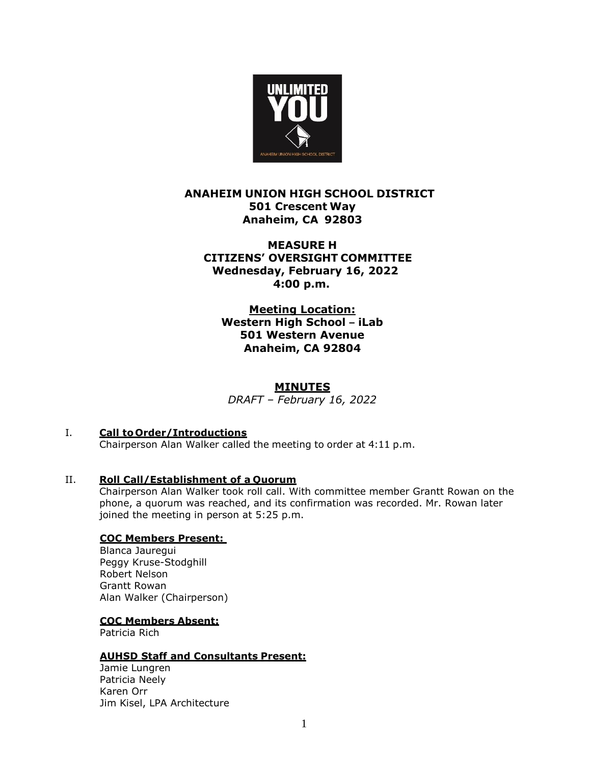

# **ANAHEIM UNION HIGH SCHOOL DISTRICT 501 Crescent Way Anaheim, CA 92803**

## **MEASURE H CITIZENS' OVERSIGHT COMMITTEE Wednesday, February 16, 2022 4:00 p.m.**

 **Meeting Location: Western High School – iLab 501 Western Avenue Anaheim, CA 92804**

# **MINUTES**

*DRAFT – February 16, 2022* 

### I. **Call to Order/Introductions**

Chairperson Alan Walker called the meeting to order at 4:11 p.m.

#### II. **Roll Call/Establishment of a Quorum**

Chairperson Alan Walker took roll call. With committee member Grantt Rowan on the phone, a quorum was reached, and its confirmation was recorded. Mr. Rowan later joined the meeting in person at 5:25 p.m.

#### **COC Members Present:**

Blanca Jauregui Peggy Kruse-Stodghill Robert Nelson Grantt Rowan Alan Walker (Chairperson)

#### **COC Members Absent:**

Patricia Rich

#### **AUHSD Staff and Consultants Present:**

Jamie Lungren Patricia Neely Karen Orr Jim Kisel, LPA Architecture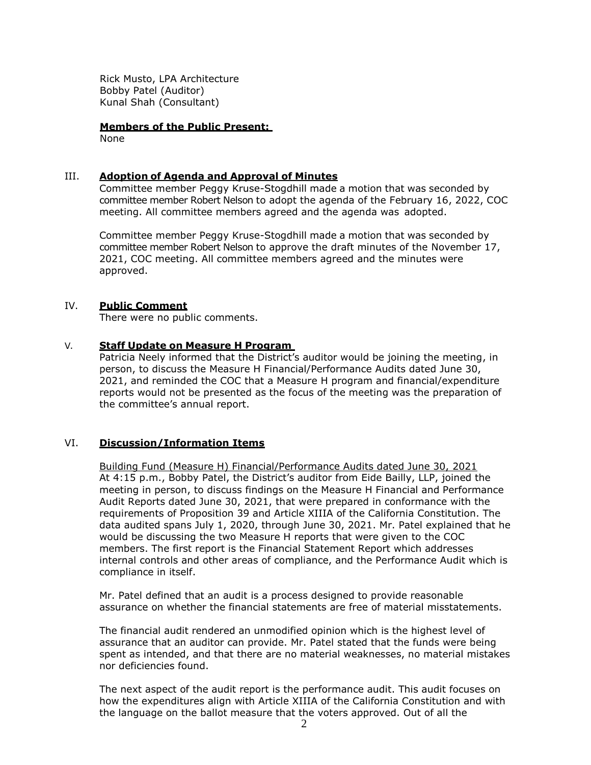Rick Musto, LPA Architecture Bobby Patel (Auditor) Kunal Shah (Consultant)

### **Members of the Public Present:**

None

#### III. **Adoption of Agenda and Approval of Minutes**

Committee member Peggy Kruse-Stogdhill made a motion that was seconded by committee member Robert Nelson to adopt the agenda of the February 16, 2022, COC meeting. All committee members agreed and the agenda was adopted.

Committee member Peggy Kruse-Stogdhill made a motion that was seconded by committee member Robert Nelson to approve the draft minutes of the November 17, 2021, COC meeting. All committee members agreed and the minutes were approved.

#### IV. **Public Comment**

There were no public comments.

#### V. **Staff Update on Measure H Program**

Patricia Neely informed that the District's auditor would be joining the meeting, in person, to discuss the Measure H Financial/Performance Audits dated June 30, 2021, and reminded the COC that a Measure H program and financial/expenditure reports would not be presented as the focus of the meeting was the preparation of the committee's annual report.

### VI. **Discussion/Information Items**

Building Fund (Measure H) Financial/Performance Audits dated June 30, 2021 At 4:15 p.m., Bobby Patel, the District's auditor from Eide Bailly, LLP, joined the meeting in person, to discuss findings on the Measure H Financial and Performance Audit Reports dated June 30, 2021, that were prepared in conformance with the requirements of Proposition 39 and Article XIIIA of the California Constitution. The data audited spans July 1, 2020, through June 30, 2021. Mr. Patel explained that he would be discussing the two Measure H reports that were given to the COC members. The first report is the Financial Statement Report which addresses internal controls and other areas of compliance, and the Performance Audit which is compliance in itself.

Mr. Patel defined that an audit is a process designed to provide reasonable assurance on whether the financial statements are free of material misstatements.

The financial audit rendered an unmodified opinion which is the highest level of assurance that an auditor can provide. Mr. Patel stated that the funds were being spent as intended, and that there are no material weaknesses, no material mistakes nor deficiencies found.

The next aspect of the audit report is the performance audit. This audit focuses on how the expenditures align with Article XIIIA of the California Constitution and with the language on the ballot measure that the voters approved. Out of all the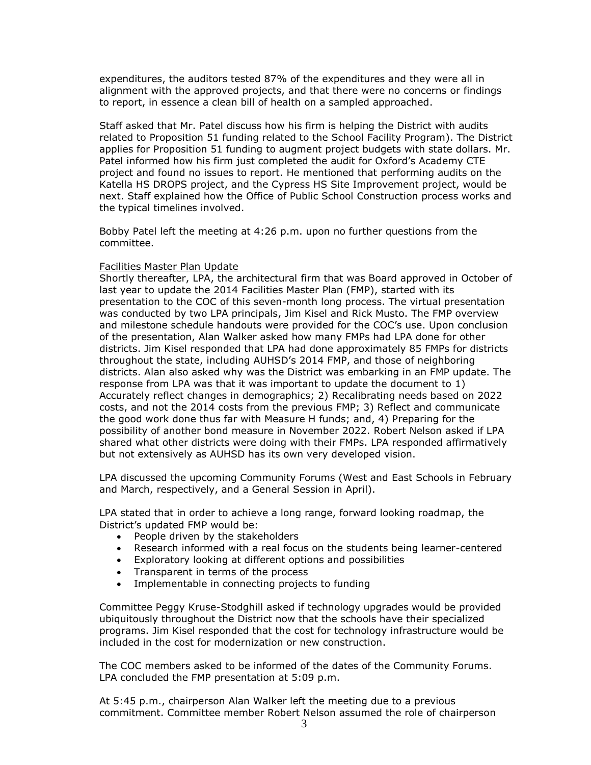expenditures, the auditors tested 87% of the expenditures and they were all in alignment with the approved projects, and that there were no concerns or findings to report, in essence a clean bill of health on a sampled approached.

Staff asked that Mr. Patel discuss how his firm is helping the District with audits related to Proposition 51 funding related to the School Facility Program). The District applies for Proposition 51 funding to augment project budgets with state dollars. Mr. Patel informed how his firm just completed the audit for Oxford's Academy CTE project and found no issues to report. He mentioned that performing audits on the Katella HS DROPS project, and the Cypress HS Site Improvement project, would be next. Staff explained how the Office of Public School Construction process works and the typical timelines involved.

Bobby Patel left the meeting at 4:26 p.m. upon no further questions from the committee.

#### Facilities Master Plan Update

Shortly thereafter, LPA, the architectural firm that was Board approved in October of last year to update the 2014 Facilities Master Plan (FMP), started with its presentation to the COC of this seven-month long process. The virtual presentation was conducted by two LPA principals, Jim Kisel and Rick Musto. The FMP overview and milestone schedule handouts were provided for the COC's use. Upon conclusion of the presentation, Alan Walker asked how many FMPs had LPA done for other districts. Jim Kisel responded that LPA had done approximately 85 FMPs for districts throughout the state, including AUHSD's 2014 FMP, and those of neighboring districts. Alan also asked why was the District was embarking in an FMP update. The response from LPA was that it was important to update the document to 1) Accurately reflect changes in demographics; 2) Recalibrating needs based on 2022 costs, and not the 2014 costs from the previous FMP; 3) Reflect and communicate the good work done thus far with Measure H funds; and, 4) Preparing for the possibility of another bond measure in November 2022. Robert Nelson asked if LPA shared what other districts were doing with their FMPs. LPA responded affirmatively but not extensively as AUHSD has its own very developed vision.

LPA discussed the upcoming Community Forums (West and East Schools in February and March, respectively, and a General Session in April).

LPA stated that in order to achieve a long range, forward looking roadmap, the District's updated FMP would be:

- People driven by the stakeholders
- Research informed with a real focus on the students being learner-centered
- Exploratory looking at different options and possibilities
- Transparent in terms of the process
- Implementable in connecting projects to funding

Committee Peggy Kruse-Stodghill asked if technology upgrades would be provided ubiquitously throughout the District now that the schools have their specialized programs. Jim Kisel responded that the cost for technology infrastructure would be included in the cost for modernization or new construction.

The COC members asked to be informed of the dates of the Community Forums. LPA concluded the FMP presentation at 5:09 p.m.

At 5:45 p.m., chairperson Alan Walker left the meeting due to a previous commitment. Committee member Robert Nelson assumed the role of chairperson